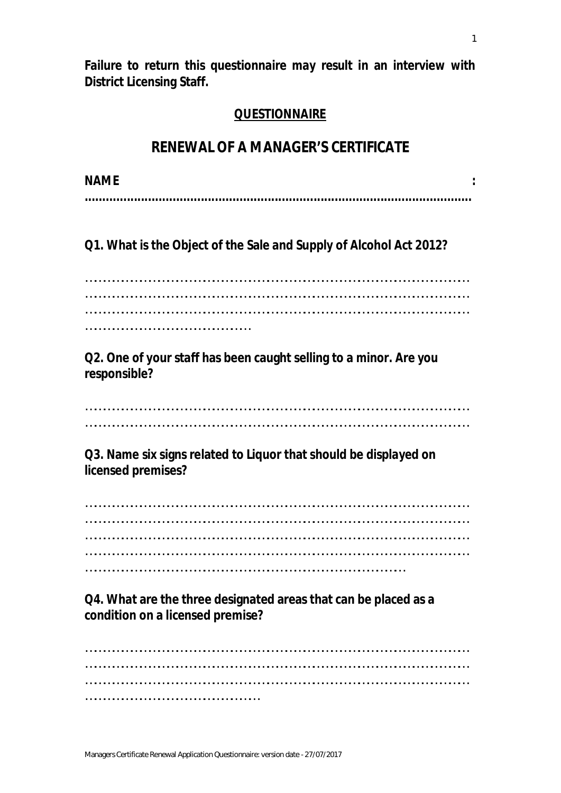**Failure to return this questionnaire may result in an interview with District Licensing Staff.**

## **QUESTIONNAIRE**

## **RENEWAL OF A MANAGER'S CERTIFICATE**

**NAME : ..............................................................................................................**

**Q1. What is the Object of the Sale and Supply of Alcohol Act 2012?**

……………………………………………………………………………………………………………… ……………………………………………………………………………………………………………… ……………………………………………………………………………………………………………… ………………………………………………

**Q2. One of your staff has been caught selling to a minor. Are you responsible?**

……………………………………………………………………………………………………………… ………………………………………………………………………………………………………………

**Q3. Name six signs related to Liquor that should be displayed on licensed premises?**

……………………………………………………………………………………………………………… ……………………………………………………………………………………………………………… ……………………………………………………………………………………………………………… ……………………………………………………………………………………………………………… ……………………………………………………………………………………………

**Q4. What are the three designated areas that can be placed as a condition on a licensed premise?**

……………………………………………………………………………………………………………… ……………………………………………………………………………………………………………… ……………………………………………………………………………………………………………… …………………………………………………